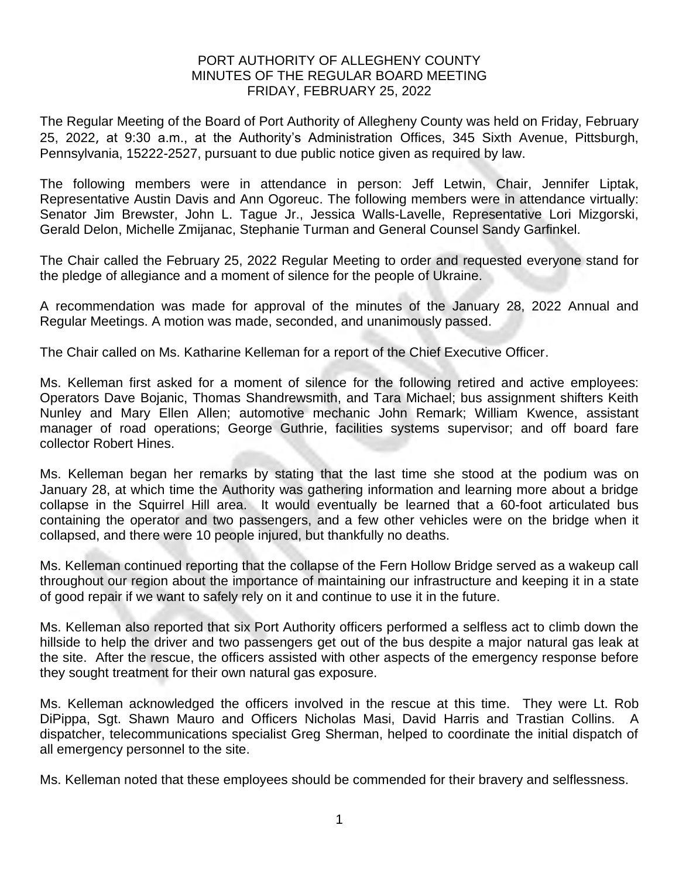## PORT AUTHORITY OF ALLEGHENY COUNTY MINUTES OF THE REGULAR BOARD MEETING FRIDAY, FEBRUARY 25, 2022

The Regular Meeting of the Board of Port Authority of Allegheny County was held on Friday, February 25, 2022, at 9:30 a.m., at the Authority's Administration Offices, 345 Sixth Avenue, Pittsburgh, Pennsylvania, 15222-2527, pursuant to due public notice given as required by law.

The following members were in attendance in person: Jeff Letwin, Chair, Jennifer Liptak, Representative Austin Davis and Ann Ogoreuc. The following members were in attendance virtually: Senator Jim Brewster, John L. Tague Jr., Jessica Walls-Lavelle, Representative Lori Mizgorski, Gerald Delon, Michelle Zmijanac, Stephanie Turman and General Counsel Sandy Garfinkel.

The Chair called the February 25, 2022 Regular Meeting to order and requested everyone stand for the pledge of allegiance and a moment of silence for the people of Ukraine.

A recommendation was made for approval of the minutes of the January 28, 2022 Annual and Regular Meetings. A motion was made, seconded, and unanimously passed.

The Chair called on Ms. Katharine Kelleman for a report of the Chief Executive Officer.

Ms. Kelleman first asked for a moment of silence for the following retired and active employees: Operators Dave Bojanic, Thomas Shandrewsmith, and Tara Michael; bus assignment shifters Keith Nunley and Mary Ellen Allen; automotive mechanic John Remark; William Kwence, assistant manager of road operations; George Guthrie, facilities systems supervisor; and off board fare collector Robert Hines.

Ms. Kelleman began her remarks by stating that the last time she stood at the podium was on January 28, at which time the Authority was gathering information and learning more about a bridge collapse in the Squirrel Hill area. It would eventually be learned that a 60-foot articulated bus containing the operator and two passengers, and a few other vehicles were on the bridge when it collapsed, and there were 10 people injured, but thankfully no deaths.

Ms. Kelleman continued reporting that the collapse of the Fern Hollow Bridge served as a wakeup call throughout our region about the importance of maintaining our infrastructure and keeping it in a state of good repair if we want to safely rely on it and continue to use it in the future.

Ms. Kelleman also reported that six Port Authority officers performed a selfless act to climb down the hillside to help the driver and two passengers get out of the bus despite a major natural gas leak at the site. After the rescue, the officers assisted with other aspects of the emergency response before they sought treatment for their own natural gas exposure.

Ms. Kelleman acknowledged the officers involved in the rescue at this time. They were Lt. Rob DiPippa, Sgt. Shawn Mauro and Officers Nicholas Masi, David Harris and Trastian Collins. A dispatcher, telecommunications specialist Greg Sherman, helped to coordinate the initial dispatch of all emergency personnel to the site.

Ms. Kelleman noted that these employees should be commended for their bravery and selflessness.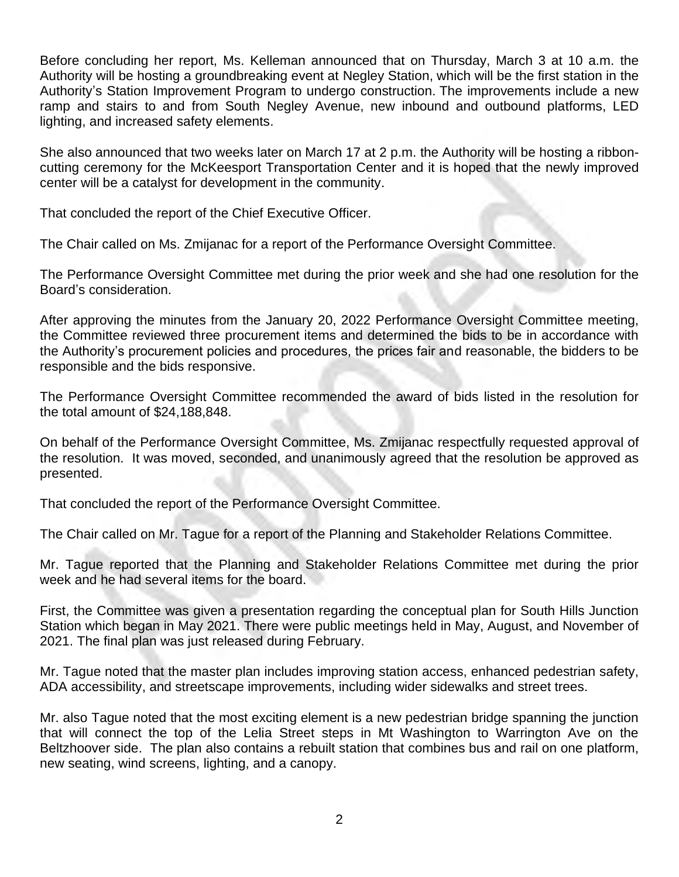Before concluding her report, Ms. Kelleman announced that on Thursday, March 3 at 10 a.m. the Authority will be hosting a groundbreaking event at Negley Station, which will be the first station in the Authority's Station Improvement Program to undergo construction. The improvements include a new ramp and stairs to and from South Negley Avenue, new inbound and outbound platforms, LED lighting, and increased safety elements.

She also announced that two weeks later on March 17 at 2 p.m. the Authority will be hosting a ribboncutting ceremony for the McKeesport Transportation Center and it is hoped that the newly improved center will be a catalyst for development in the community.

That concluded the report of the Chief Executive Officer.

The Chair called on Ms. Zmijanac for a report of the Performance Oversight Committee.

The Performance Oversight Committee met during the prior week and she had one resolution for the Board's consideration.

After approving the minutes from the January 20, 2022 Performance Oversight Committee meeting, the Committee reviewed three procurement items and determined the bids to be in accordance with the Authority's procurement policies and procedures, the prices fair and reasonable, the bidders to be responsible and the bids responsive.

The Performance Oversight Committee recommended the award of bids listed in the resolution for the total amount of \$24,188,848.

On behalf of the Performance Oversight Committee, Ms. Zmijanac respectfully requested approval of the resolution. It was moved, seconded, and unanimously agreed that the resolution be approved as presented.

That concluded the report of the Performance Oversight Committee.

The Chair called on Mr. Tague for a report of the Planning and Stakeholder Relations Committee.

Mr. Tague reported that the Planning and Stakeholder Relations Committee met during the prior week and he had several items for the board.

First, the Committee was given a presentation regarding the conceptual plan for South Hills Junction Station which began in May 2021. There were public meetings held in May, August, and November of 2021. The final plan was just released during February.

Mr. Tague noted that the master plan includes improving station access, enhanced pedestrian safety, ADA accessibility, and streetscape improvements, including wider sidewalks and street trees.

Mr. also Tague noted that the most exciting element is a new pedestrian bridge spanning the junction that will connect the top of the Lelia Street steps in Mt Washington to Warrington Ave on the Beltzhoover side. The plan also contains a rebuilt station that combines bus and rail on one platform, new seating, wind screens, lighting, and a canopy.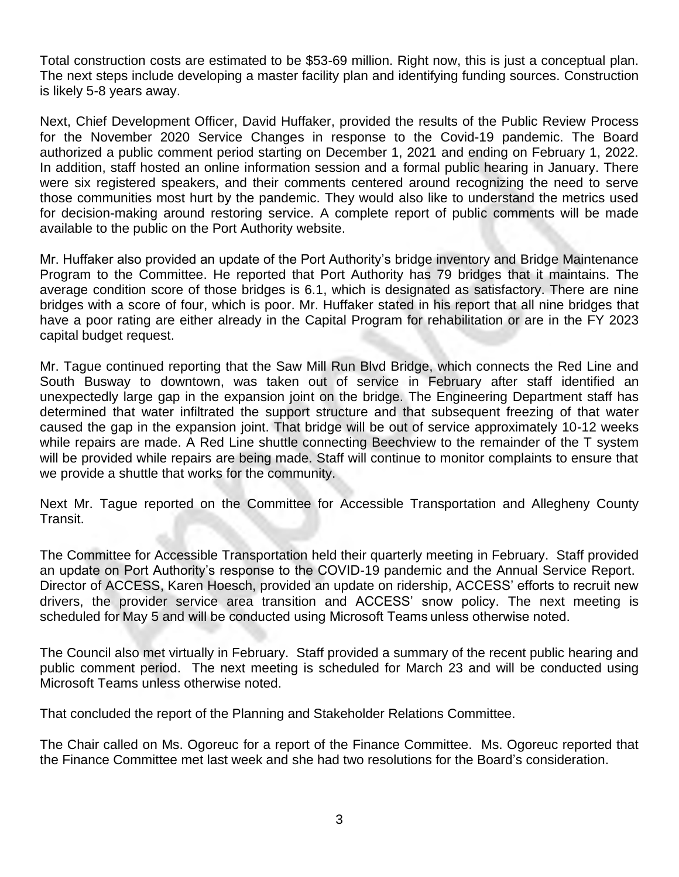Total construction costs are estimated to be \$53-69 million. Right now, this is just a conceptual plan. The next steps include developing a master facility plan and identifying funding sources. Construction is likely 5-8 years away.

Next, Chief Development Officer, David Huffaker, provided the results of the Public Review Process for the November 2020 Service Changes in response to the Covid-19 pandemic. The Board authorized a public comment period starting on December 1, 2021 and ending on February 1, 2022. In addition, staff hosted an online information session and a formal public hearing in January. There were six registered speakers, and their comments centered around recognizing the need to serve those communities most hurt by the pandemic. They would also like to understand the metrics used for decision-making around restoring service. A complete report of public comments will be made available to the public on the Port Authority website.

Mr. Huffaker also provided an update of the Port Authority's bridge inventory and Bridge Maintenance Program to the Committee. He reported that Port Authority has 79 bridges that it maintains. The average condition score of those bridges is 6.1, which is designated as satisfactory. There are nine bridges with a score of four, which is poor. Mr. Huffaker stated in his report that all nine bridges that have a poor rating are either already in the Capital Program for rehabilitation or are in the FY 2023 capital budget request.

Mr. Tague continued reporting that the Saw Mill Run Blvd Bridge, which connects the Red Line and South Busway to downtown, was taken out of service in February after staff identified an unexpectedly large gap in the expansion joint on the bridge. The Engineering Department staff has determined that water infiltrated the support structure and that subsequent freezing of that water caused the gap in the expansion joint. That bridge will be out of service approximately 10-12 weeks while repairs are made. A Red Line shuttle connecting Beechview to the remainder of the T system will be provided while repairs are being made. Staff will continue to monitor complaints to ensure that we provide a shuttle that works for the community.

Next Mr. Tague reported on the Committee for Accessible Transportation and Allegheny County Transit.

The Committee for Accessible Transportation held their quarterly meeting in February. Staff provided an update on Port Authority's response to the COVID-19 pandemic and the Annual Service Report. Director of ACCESS, Karen Hoesch, provided an update on ridership, ACCESS' efforts to recruit new drivers, the provider service area transition and ACCESS' snow policy. The next meeting is scheduled for May 5 and will be conducted using Microsoft Teams unless otherwise noted.

The Council also met virtually in February. Staff provided a summary of the recent public hearing and public comment period. The next meeting is scheduled for March 23 and will be conducted using Microsoft Teams unless otherwise noted.

That concluded the report of the Planning and Stakeholder Relations Committee.

The Chair called on Ms. Ogoreuc for a report of the Finance Committee. Ms. Ogoreuc reported that the Finance Committee met last week and she had two resolutions for the Board's consideration.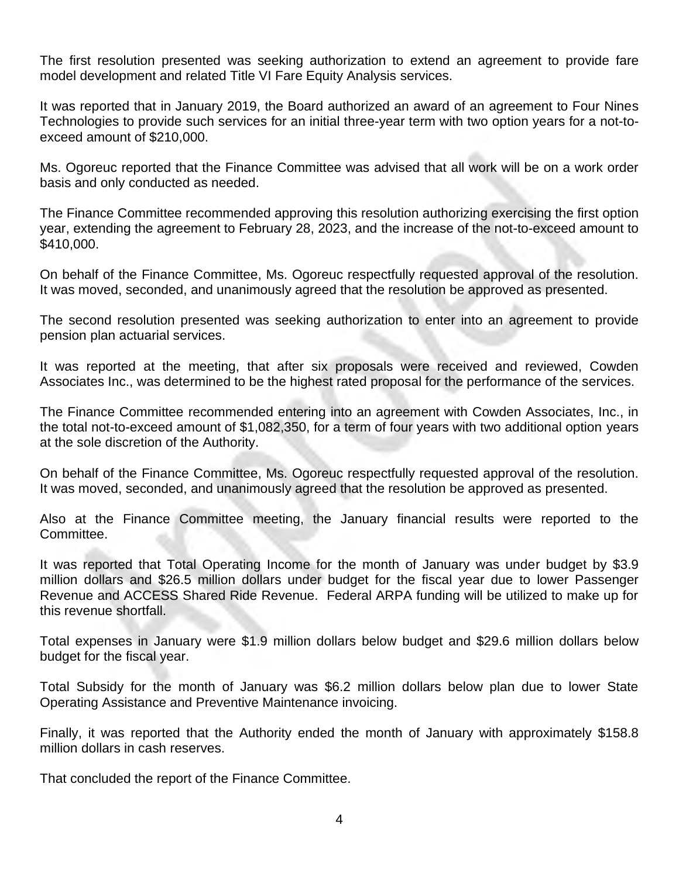The first resolution presented was seeking authorization to extend an agreement to provide fare model development and related Title VI Fare Equity Analysis services.

It was reported that in January 2019, the Board authorized an award of an agreement to Four Nines Technologies to provide such services for an initial three-year term with two option years for a not-toexceed amount of \$210,000.

Ms. Ogoreuc reported that the Finance Committee was advised that all work will be on a work order basis and only conducted as needed.

The Finance Committee recommended approving this resolution authorizing exercising the first option year, extending the agreement to February 28, 2023, and the increase of the not-to-exceed amount to \$410,000.

On behalf of the Finance Committee, Ms. Ogoreuc respectfully requested approval of the resolution. It was moved, seconded, and unanimously agreed that the resolution be approved as presented.

The second resolution presented was seeking authorization to enter into an agreement to provide pension plan actuarial services.

It was reported at the meeting, that after six proposals were received and reviewed, Cowden Associates Inc., was determined to be the highest rated proposal for the performance of the services.

The Finance Committee recommended entering into an agreement with Cowden Associates, Inc., in the total not-to-exceed amount of \$1,082,350, for a term of four years with two additional option years at the sole discretion of the Authority.

On behalf of the Finance Committee, Ms. Ogoreuc respectfully requested approval of the resolution. It was moved, seconded, and unanimously agreed that the resolution be approved as presented.

Also at the Finance Committee meeting, the January financial results were reported to the Committee.

It was reported that Total Operating Income for the month of January was under budget by \$3.9 million dollars and \$26.5 million dollars under budget for the fiscal year due to lower Passenger Revenue and ACCESS Shared Ride Revenue. Federal ARPA funding will be utilized to make up for this revenue shortfall.

Total expenses in January were \$1.9 million dollars below budget and \$29.6 million dollars below budget for the fiscal year.

Total Subsidy for the month of January was \$6.2 million dollars below plan due to lower State Operating Assistance and Preventive Maintenance invoicing.

Finally, it was reported that the Authority ended the month of January with approximately \$158.8 million dollars in cash reserves.

That concluded the report of the Finance Committee.